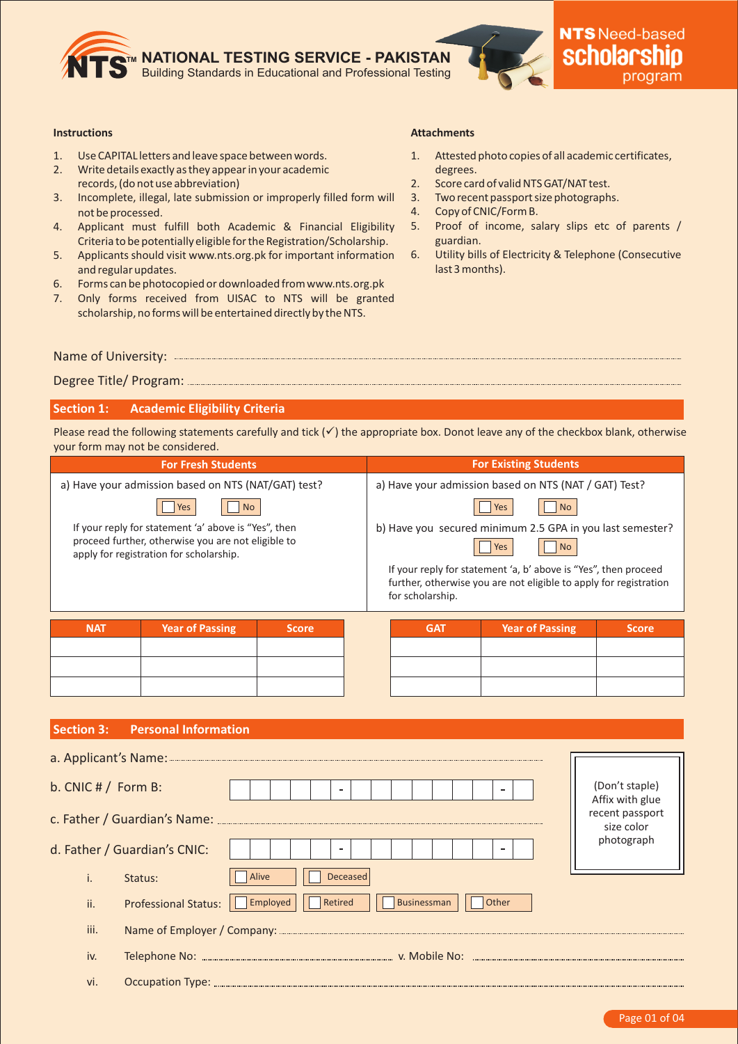

#### **Instructions**

- 1. Use CAPITAL letters and leave space between words.
- 2. Write details exactly as they appear in your academic records, (do not use abbreviation)
- 3. Incomplete, illegal, late submission or improperly filled form will not be processed.
- 4. Applicant must fulfill both Academic & Financial Eligibility Criteria to be potentially eligible for the Registration/Scholarship.
- 5. Applicants should visit www.nts.org.pk for important information and regular updates.
- 6. Forms can be photocopied or downloaded from www.nts.org.pk
- 7. Only forms received from UISAC to NTS will be granted scholarship, no forms will be entertained directly by the NTS.

## **Attachments**

- 1. Attested photo copies of all academic certificates, degrees.
- 2. Score card of valid NTS GAT/NAT test.
- 3. Two recent passport size photographs.
- 4. Copy of CNIC/Form B.
- 5. Proof of income, salary slips etc of parents / guardian.
- 6. Utility bills of Electricity & Telephone (Consecutive last 3 months).

Name of University:

Degree Title/ Program:

# **Section 1: Academic Eligibility Criteria**

Please read the following statements carefully and tick  $(v)$  the appropriate box. Donot leave any of the checkbox blank, otherwise your form may not be considered.

|            | <b>For Fresh Students</b>                                                                                                                             |        | <b>For Existing Students</b>                                            |                                                                                                                                      |       |  |
|------------|-------------------------------------------------------------------------------------------------------------------------------------------------------|--------|-------------------------------------------------------------------------|--------------------------------------------------------------------------------------------------------------------------------------|-------|--|
|            | a) Have your admission based on NTS (NAT/GAT) test?                                                                                                   |        | a) Have your admission based on NTS (NAT / GAT) Test?                   |                                                                                                                                      |       |  |
|            | <b>No</b><br>Yes                                                                                                                                      |        | No.                                                                     |                                                                                                                                      |       |  |
|            | If your reply for statement 'a' above is "Yes", then<br>proceed further, otherwise you are not eligible to<br>apply for registration for scholarship. |        | b) Have you secured minimum 2.5 GPA in you last semester?<br>No.<br>Yes |                                                                                                                                      |       |  |
|            |                                                                                                                                                       |        | for scholarship.                                                        | If your reply for statement 'a, b' above is "Yes", then proceed<br>further, otherwise you are not eligible to apply for registration |       |  |
| <b>NAT</b> | <b>Year of Passing</b>                                                                                                                                | Score, | <b>GAT</b>                                                              | <b>Year of Passing</b>                                                                                                               | Score |  |
|            |                                                                                                                                                       |        |                                                                         |                                                                                                                                      |       |  |
|            |                                                                                                                                                       |        |                                                                         |                                                                                                                                      |       |  |

### **Section 3: Personal Information**

| b. CNIC $# /$ Form B:<br>$\sim$                                                   | (Don't staple)<br>Affix with glue |
|-----------------------------------------------------------------------------------|-----------------------------------|
|                                                                                   | recent passport<br>size color     |
| d. Father / Guardian's CNIC:<br>$\blacksquare$                                    | photograph                        |
| Alive<br>Deceased<br>Status:                                                      |                                   |
| Businessman<br>Retired<br><b>Professional Status:</b><br>Employed<br>Other<br>ii. |                                   |
| iii.                                                                              |                                   |
| iv.                                                                               |                                   |
| vi.                                                                               |                                   |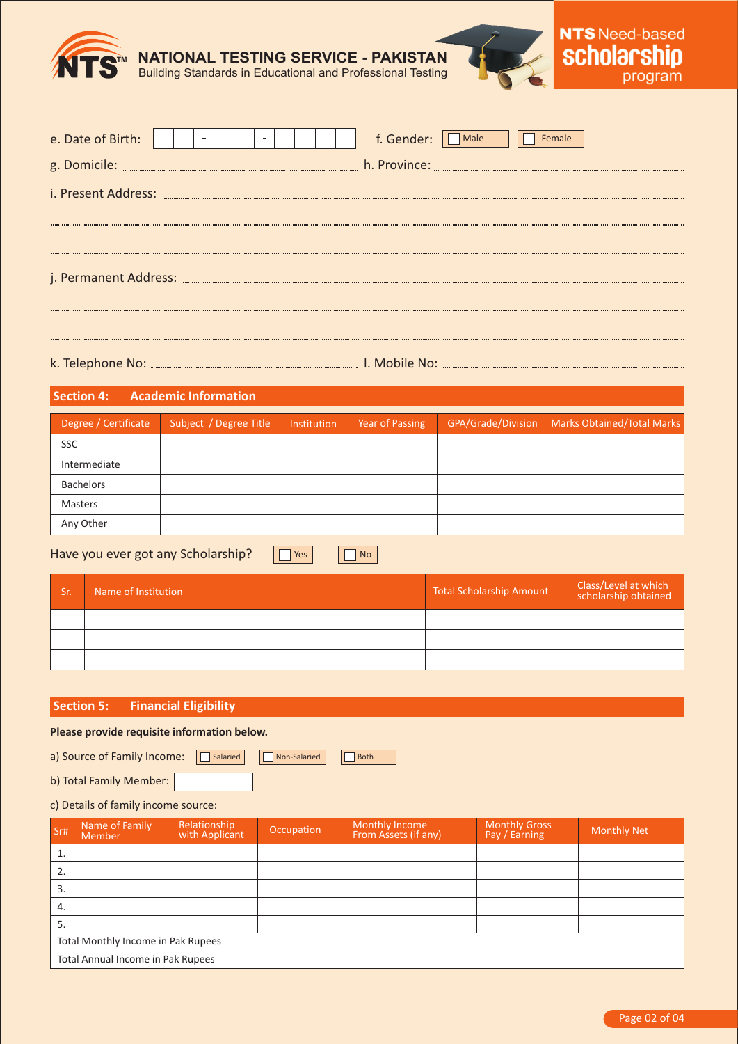

| e. Date of Birth: |  |  |  |  |  |  |  |  |  | f. Gender:<br>Male<br>Female |
|-------------------|--|--|--|--|--|--|--|--|--|------------------------------|
|                   |  |  |  |  |  |  |  |  |  |                              |
|                   |  |  |  |  |  |  |  |  |  |                              |
|                   |  |  |  |  |  |  |  |  |  |                              |
|                   |  |  |  |  |  |  |  |  |  |                              |
|                   |  |  |  |  |  |  |  |  |  |                              |
|                   |  |  |  |  |  |  |  |  |  |                              |
|                   |  |  |  |  |  |  |  |  |  |                              |

k. Telephone No: l. Mobile No:

| Section 4:<br><b>Academic Information</b> |                        |             |                 |                    |                            |  |  |  |
|-------------------------------------------|------------------------|-------------|-----------------|--------------------|----------------------------|--|--|--|
| Degree / Certificate                      | Subject / Degree Title | Institution | Year of Passing | GPA/Grade/Division | Marks Obtained/Total Marks |  |  |  |
| <b>SSC</b>                                |                        |             |                 |                    |                            |  |  |  |
| Intermediate                              |                        |             |                 |                    |                            |  |  |  |
| Bachelors                                 |                        |             |                 |                    |                            |  |  |  |
| Masters                                   |                        |             |                 |                    |                            |  |  |  |
| Any Other                                 |                        |             |                 |                    |                            |  |  |  |
|                                           |                        |             |                 |                    |                            |  |  |  |

Have you ever got any Scholarship?

| Sr. | Name of Institution | <b>Total Scholarship Amount</b> | Class/Level at which<br>scholarship obtained |
|-----|---------------------|---------------------------------|----------------------------------------------|
|     |                     |                                 |                                              |
|     |                     |                                 |                                              |
|     |                     |                                 |                                              |

# **Section 5: Financial Eligibility**

### **Please provide requisite information below.**

a) Source of Family Income: <br>
<u>Disalaried</u>

b) Total Family Member:

# c) Details of family income source:

| Sr#                                | Name of Family<br>Member          | Relationship<br>with Applicant | Occupation | Monthly Income<br>From Assets (if any) | <b>Monthly Gross</b><br>Pay / Earning | <b>Monthly Net</b> |  |  |
|------------------------------------|-----------------------------------|--------------------------------|------------|----------------------------------------|---------------------------------------|--------------------|--|--|
| 1.                                 |                                   |                                |            |                                        |                                       |                    |  |  |
| 2.                                 |                                   |                                |            |                                        |                                       |                    |  |  |
| 3.                                 |                                   |                                |            |                                        |                                       |                    |  |  |
| 4.                                 |                                   |                                |            |                                        |                                       |                    |  |  |
| 5.                                 |                                   |                                |            |                                        |                                       |                    |  |  |
| Total Monthly Income in Pak Rupees |                                   |                                |            |                                        |                                       |                    |  |  |
|                                    | Total Annual Income in Pak Rupees |                                |            |                                        |                                       |                    |  |  |

Non-Salaried **Both** 

**T** Yes **No**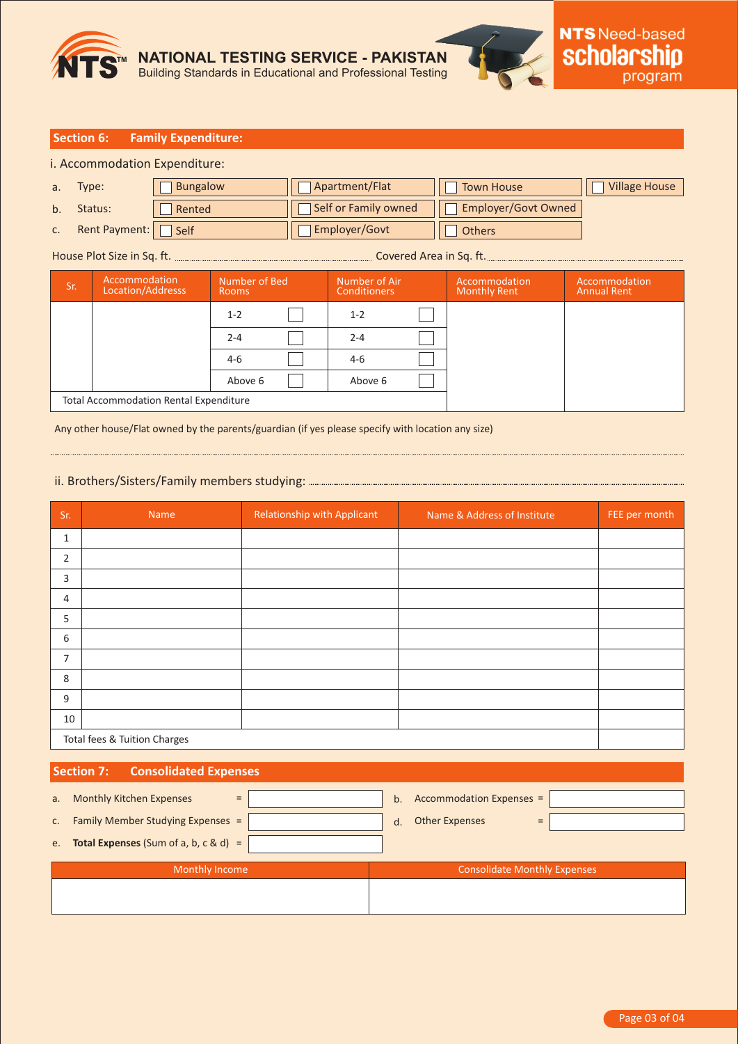

### **Section 6: Family Expenditure:**

i. Accommodation Expenditure:

| $a$ .          | Type:         | <b>Bungalow</b> | Apartment/Flat       | <b>Town House</b>   | <b>Village House</b> |
|----------------|---------------|-----------------|----------------------|---------------------|----------------------|
| b <sub>1</sub> | Status:       | Rented          | Self or Family owned | Employer/Govt Owned |                      |
| C.             | Rent Payment: | Self            | <b>Employer/Govt</b> | <b>Others</b>       |                      |

### House Plot Size in Sq. ft. Covered Area in Sq. ft.

| Sr. | Accommodation<br>Location/Addresss            | Number of Bed<br>Rooms |  | Number of Air<br><b>Conditioners</b> |  | Accommodation<br><b>Monthly Rent</b> | Accommodation<br><b>Annual Rent</b> |
|-----|-----------------------------------------------|------------------------|--|--------------------------------------|--|--------------------------------------|-------------------------------------|
|     |                                               | $1 - 2$                |  | $1 - 2$                              |  |                                      |                                     |
|     |                                               | $2 - 4$                |  | $2 - 4$                              |  |                                      |                                     |
|     |                                               | $4 - 6$                |  | 4-6                                  |  |                                      |                                     |
|     |                                               | Above 6                |  | Above 6                              |  |                                      |                                     |
|     | <b>Total Accommodation Rental Expenditure</b> |                        |  |                                      |  |                                      |                                     |

Any other house/Flat owned by the parents/guardian (if yes please specify with location any size)

# ii. Brothers/Sisters/Family members studying:

| Sr.            | Name                         | <b>Relationship with Applicant</b> | Name & Address of Institute | FEE per month |  |  |  |  |
|----------------|------------------------------|------------------------------------|-----------------------------|---------------|--|--|--|--|
| $\mathbf{1}$   |                              |                                    |                             |               |  |  |  |  |
| $\overline{2}$ |                              |                                    |                             |               |  |  |  |  |
| 3              |                              |                                    |                             |               |  |  |  |  |
| 4              |                              |                                    |                             |               |  |  |  |  |
| 5              |                              |                                    |                             |               |  |  |  |  |
| 6              |                              |                                    |                             |               |  |  |  |  |
| $\overline{7}$ |                              |                                    |                             |               |  |  |  |  |
| 8              |                              |                                    |                             |               |  |  |  |  |
| 9              |                              |                                    |                             |               |  |  |  |  |
| 10             |                              |                                    |                             |               |  |  |  |  |
|                | Total fees & Tuition Charges |                                    |                             |               |  |  |  |  |

## **Section 7: Consolidated Expenses**

|    | Monthly Income                                   |         | <b>Consolidate Monthly Expenses</b> |  |
|----|--------------------------------------------------|---------|-------------------------------------|--|
| e. | <b>Total Expenses</b> (Sum of a, b, $c \& d$ ) = |         |                                     |  |
| C. | Family Member Studying Expenses =                | $d_{-}$ | <b>Other Expenses</b><br>$=$        |  |
| a. | <b>Monthly Kitchen Expenses</b><br>$=$           | b.      | Accommodation Expenses =            |  |